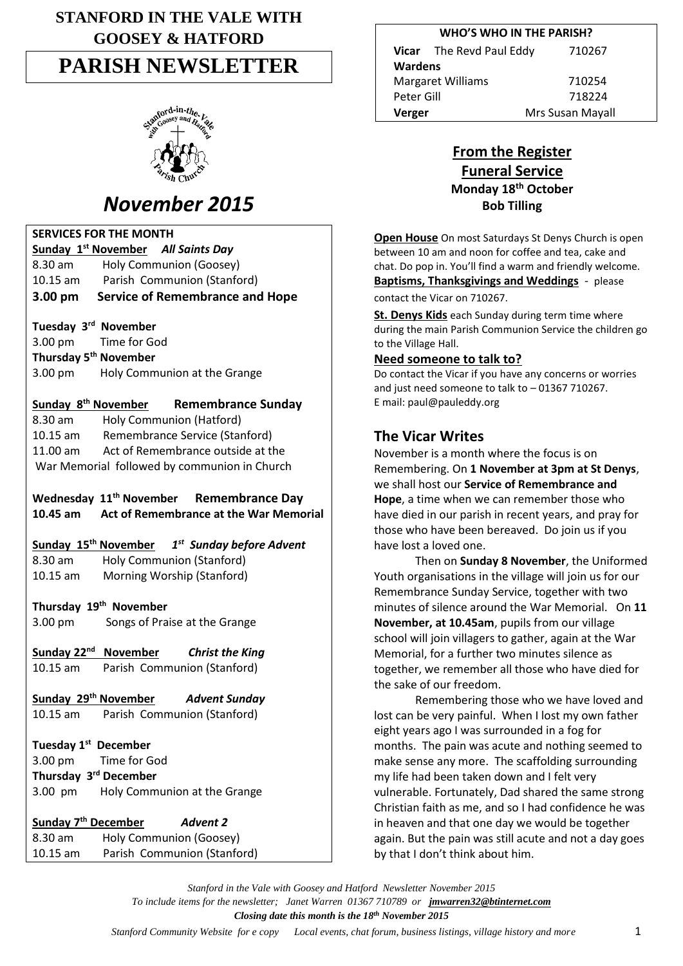# **STANFORD IN THE VALE WITH GOOSEY & HATFORD**

# **PARISH NEWSLETTER**



# *November 2015*

## **SERVICES FOR THE MONTH**

|                                                          | Sunday 1 <sup>st</sup> November All Saints Day                           |  |  |
|----------------------------------------------------------|--------------------------------------------------------------------------|--|--|
| 8.30 am                                                  | Holy Communion (Goosey)                                                  |  |  |
| $10.15$ am                                               | Parish Communion (Stanford)                                              |  |  |
| 3.00 pm                                                  | <b>Service of Remembrance and Hope</b>                                   |  |  |
| Tuesday 3rd November                                     |                                                                          |  |  |
| 3.00 pm                                                  | Time for God                                                             |  |  |
| Thursday 5 <sup>th</sup> November                        |                                                                          |  |  |
| 3.00 pm                                                  | Holy Communion at the Grange                                             |  |  |
| Sunday 8 <sup>th</sup> November                          | <b>Remembrance Sunday</b>                                                |  |  |
| 8.30 am                                                  | Holy Communion (Hatford)                                                 |  |  |
| 10.15 am                                                 | Remembrance Service (Stanford)                                           |  |  |
| 11.00 am                                                 | Act of Remembrance outside at the                                        |  |  |
| War Memorial followed by communion in Church             |                                                                          |  |  |
|                                                          | Wednesday 11 <sup>th</sup> November Remembrance Day                      |  |  |
| 10.45 am                                                 | Act of Remembrance at the War Memorial                                   |  |  |
|                                                          | Sunday 15 <sup>th</sup> November<br>1 <sup>st</sup> Sunday before Advent |  |  |
| $8.30$ am                                                | Holy Communion (Stanford)                                                |  |  |
| 10.15 am                                                 | Morning Worship (Stanford)                                               |  |  |
| Thursday 19 <sup>th</sup> November                       |                                                                          |  |  |
| 3.00 pm                                                  | Songs of Praise at the Grange                                            |  |  |
|                                                          | Sunday 22 <sup>nd</sup> November<br><b>Christ the King</b>               |  |  |
| 10.15 am                                                 | Parish Communion (Stanford)                                              |  |  |
| Sunday 29 <sup>th</sup> November<br><b>Advent Sunday</b> |                                                                          |  |  |
| $10.15$ am                                               | Parish Communion (Stanford)                                              |  |  |
| Tuesday 1 <sup>st</sup> December                         |                                                                          |  |  |
| 3.00 pm                                                  | <b>Time for God</b>                                                      |  |  |
| Thursday 3rd December                                    |                                                                          |  |  |
| 3.00 pm                                                  | Holy Communion at the Grange                                             |  |  |
| Sunday 7 <sup>th</sup> December                          | <b>Advent 2</b>                                                          |  |  |
| 8.30 am                                                  | Holy Communion (Goosey)                                                  |  |  |

10.15 am Parish Communion (Stanford)

| <b>WHO'S WHO IN THE PARISH?</b> |                          |                  |  |
|---------------------------------|--------------------------|------------------|--|
|                                 | Vicar The Revd Paul Eddy | 710267           |  |
| Wardens                         |                          |                  |  |
| <b>Margaret Williams</b>        |                          | 710254           |  |
| Peter Gill                      |                          | 718224           |  |
| Verger                          |                          | Mrs Susan Mayall |  |

# **From the Register Funeral Service Monday 18th October Bob Tilling**

**Open House** On most Saturdays St Denys Church is open between 10 am and noon for coffee and tea, cake and chat. Do pop in. You'll find a warm and friendly welcome. **Baptisms, Thanksgivings and Weddings** - please contact the Vicar on 710267.

**St. Denys Kids** each Sunday during term time where during the main Parish Communion Service the children go to the Village Hall.

### **Need someone to talk to?**

Do contact the Vicar if you have any concerns or worries and just need someone to talk to – 01367 710267. E mail: paul@pauleddy.org

# **The Vicar Writes**

November is a month where the focus is on Remembering. On **1 November at 3pm at St Denys**, we shall host our **Service of Remembrance and Hope**, a time when we can remember those who have died in our parish in recent years, and pray for those who have been bereaved. Do join us if you have lost a loved one.

Then on **Sunday 8 November**, the Uniformed Youth organisations in the village will join us for our Remembrance Sunday Service, together with two minutes of silence around the War Memorial. On **11 November, at 10.45am**, pupils from our village school will join villagers to gather, again at the War Memorial, for a further two minutes silence as together, we remember all those who have died for the sake of our freedom.

Remembering those who we have loved and lost can be very painful. When I lost my own father eight years ago I was surrounded in a fog for months. The pain was acute and nothing seemed to make sense any more. The scaffolding surrounding my life had been taken down and I felt very vulnerable. Fortunately, Dad shared the same strong Christian faith as me, and so I had confidence he was in heaven and that one day we would be together again. But the pain was still acute and not a day goes by that I don't think about him.

*Stanford in the Vale with Goosey and Hatford Newsletter November 2015 To include items for the newsletter; Janet Warren 01367 710789 or [jmwarren32@btinternet.com](mailto:jmwarren32@btinternet.com) Closing date this month is the 18th November 2015 Stanford Community Website for e copy* Local events, chat forum, business listings, village history and more 1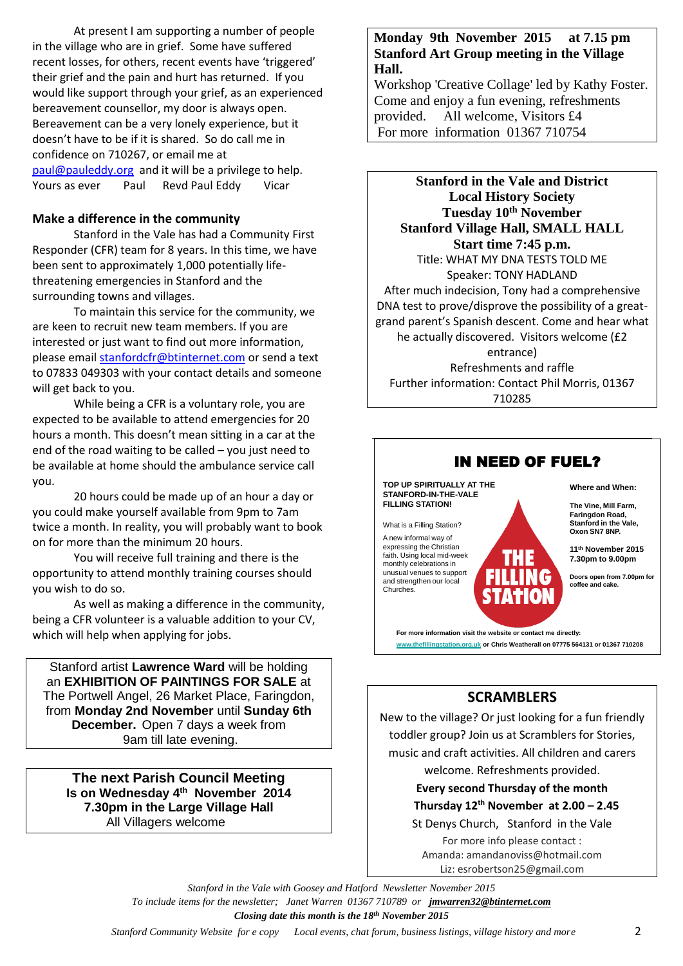At present I am supporting a number of people in the village who are in grief. Some have suffered recent losses, for others, recent events have 'triggered' their grief and the pain and hurt has returned. If you would like support through your grief, as an experienced bereavement counsellor, my door is always open. Bereavement can be a very lonely experience, but it doesn't have to be if it is shared. So do call me in confidence on 710267, or email me at [paul@pauleddy.org](mailto:paul@pauleddy.org) and it will be a privilege to help. Yours as ever Paul Revd Paul Eddy Vicar

#### **Make a difference in the community**

Stanford in the Vale has had a Community First Responder (CFR) team for 8 years. In this time, we have been sent to approximately 1,000 potentially lifethreatening emergencies in Stanford and the surrounding towns and villages.

To maintain this service for the community, we are keen to recruit new team members. If you are interested or just want to find out more information, please emai[l stanfordcfr@btinternet.com](mailto:stanfordcfr@btinternet.com) or send a text to 07833 049303 with your contact details and someone will get back to you.

While being a CFR is a voluntary role, you are expected to be available to attend emergencies for 20 hours a month. This doesn't mean sitting in a car at the end of the road waiting to be called – you just need to be available at home should the ambulance service call you.

20 hours could be made up of an hour a day or you could make yourself available from 9pm to 7am twice a month. In reality, you will probably want to book on for more than the minimum 20 hours.

You will receive full training and there is the opportunity to attend monthly training courses should you wish to do so.

As well as making a difference in the community, being a CFR volunteer is a valuable addition to your CV, which will help when applying for jobs.

Stanford artist **Lawrence Ward** will be holding an **EXHIBITION OF PAINTINGS FOR SALE** at The Portwell Angel, 26 Market Place, Faringdon, from **Monday 2nd November** until **Sunday 6th December.** Open 7 days a week from 9am till late evening.

**The next Parish Council Meeting Is on Wednesday 4 th November 2014 7.30pm in the Large Village Hall** All Villagers welcome

## **Monday 9th November 2015 at 7.15 pm Stanford Art Group meeting in the Village Hall.**

Workshop 'Creative Collage' led by Kathy Foster. Come and enjoy a fun evening, refreshments provided. All welcome, Visitors £4 For more information 01367 710754

**Stanford in the Vale and District Local History Society Tuesday 10th November Stanford Village Hall, SMALL HALL Start time 7:45 p.m.** Title: WHAT MY DNA TESTS TOLD ME Speaker: TONY HADLAND After much indecision, Tony had a comprehensive DNA test to prove/disprove the possibility of a greatgrand parent's Spanish descent. Come and hear what he actually discovered. Visitors welcome (£2 entrance) Refreshments and raffle Further information: Contact Phil Morris, 01367 710285



## **SCRAMBLERS**

New to the village? Or just looking for a fun friendly toddler group? Join us at Scramblers for Stories, music and craft activities. All children and carers welcome. Refreshments provided.

# **Every second Thursday of the month Thursday 12<sup>th</sup> November at 2.00**  $-$  **2.45**

St Denys Church, Stanford in the Vale For more info please contact : Amanda: amandanoviss@hotmail.com Liz: esrobertson25@gmail.com

*Stanford in the Vale with Goosey and Hatford Newsletter November 2015 To include items for the newsletter; Janet Warren 01367 710789 or [jmwarren32@btinternet.com](mailto:jmwarren32@btinternet.com) Closing date this month is the 18th November 2015*

 *Stanford Community Website for e copy Local events, chat forum, business listings, village history and more* 2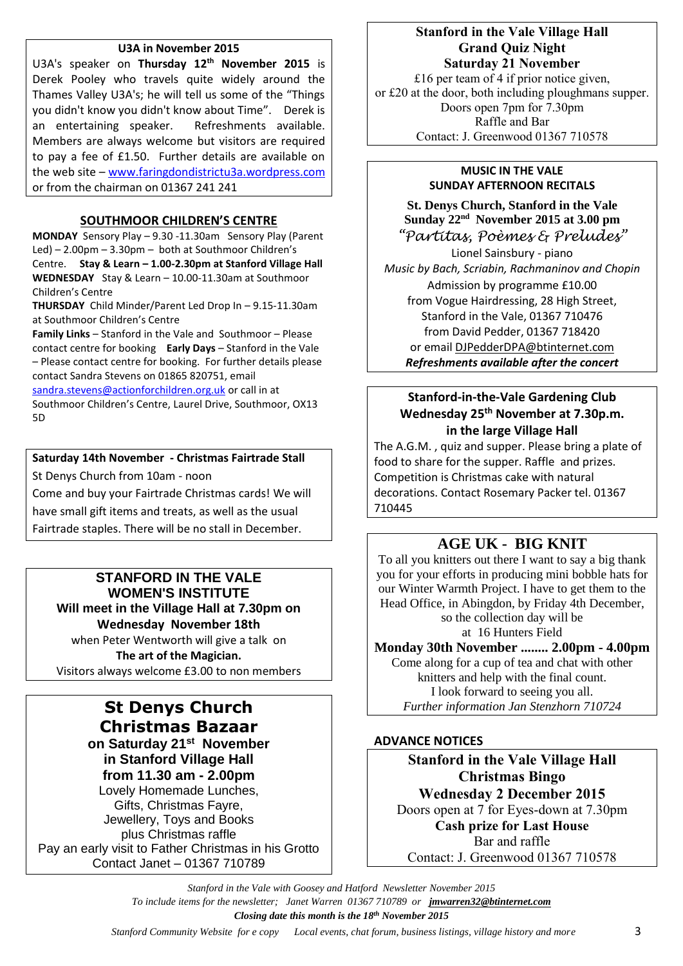#### **U3A in November 2015**

U3A's speaker on **Thursday 12th November 2015** is Derek Pooley who travels quite widely around the Thames Valley U3A's; he will tell us some of the "Things you didn't know you didn't know about Time". Derek is an entertaining speaker. Refreshments available. Members are always welcome but visitors are required to pay a fee of £1.50. Further details are available on the web site – [www.faringdondistrictu3a.wordpress.com](http://www.faringdondistrictu3a.wordpress.com/) or from the chairman on 01367 241 241

#### **SOUTHMOOR CHILDREN'S CENTRE**

**MONDAY** Sensory Play – 9.30 -11.30am Sensory Play (Parent Led) – 2.00pm – 3.30pm – both at Southmoor Children's Centre. **Stay & Learn – 1.00-2.30pm at Stanford Village Hall WEDNESDAY** Stay & Learn – 10.00-11.30am at Southmoor Children's Centre

**THURSDAY** Child Minder/Parent Led Drop In – 9.15-11.30am at Southmoor Children's Centre

**Family Links** – Stanford in the Vale and Southmoor – Please contact centre for booking **Early Days** – Stanford in the Vale – Please contact centre for booking. For further details please contact Sandra Stevens on 01865 820751, email

[sandra.stevens@actionforchildren.org.uk](mailto:sandra.stevens@actionforchildren.org.uk) or call in at Southmoor Children's Centre, Laurel Drive, Southmoor, OX13 5D

#### **Saturday 14th November - Christmas Fairtrade Stall**

St Denys Church from 10am - noon

Come and buy your Fairtrade Christmas cards! We will have small gift items and treats, as well as the usual Fairtrade staples. There will be no stall in December.

#### **STANFORD IN THE VALE WOMEN'S INSTITUTE Will meet in the Village Hall at 7.30pm on Wednesday November 18th**

when Peter Wentworth will give a talk on **The art of the Magician.** Visitors always welcome £3.00 to non members

# **St Denys Church Christmas Bazaar**

**on Saturday 21st November in Stanford Village Hall from 11.30 am - 2.00pm** Lovely Homemade Lunches, Gifts, Christmas Fayre, Jewellery, Toys and Books plus Christmas raffle Pay an early visit to Father Christmas in his Grotto Contact Janet – 01367 710789

## **Stanford in the Vale Village Hall Grand Quiz Night Saturday 21 November**

£16 per team of 4 if prior notice given, or £20 at the door, both including ploughmans supper. Doors open 7pm for 7.30pm Raffle and Bar Contact: J. Greenwood 01367 710578

#### **MUSIC IN THE VALE SUNDAY AFTERNOON RECITALS**

**St. Denys Church, Stanford in the Vale Sunday 22nd November 2015 at 3.00 pm** *"Partitas, Poèmes & Preludes"*

Lionel Sainsbury - piano *Music by Bach, Scriabin, Rachmaninov and Chopin* Admission by programme £10.00 from Vogue Hairdressing, 28 High Street, Stanford in the Vale, 01367 710476 from David Pedder, 01367 718420 or email [DJPedderDPA@btinternet.com](mailto:DJPedderDPA@btinternet.com) *Refreshments available after the concert*

## **Stanford-in-the-Vale Gardening Club Wednesday 25 th November at 7.30p.m. in the large Village Hall**

The A.G.M. , quiz and supper. Please bring a plate of food to share for the supper. Raffle and prizes. Competition is Christmas cake with natural decorations. Contact Rosemary Packer tel. 01367 710445

# **AGE UK - BIG KNIT**

To all you knitters out there I want to say a big thank you for your efforts in producing mini bobble hats for our Winter Warmth Project. I have to get them to the Head Office, in Abingdon, by Friday 4th December, so the collection day will be at 16 Hunters Field

**Monday 30th November ........ 2.00pm - 4.00pm**

Come along for a cup of tea and chat with other knitters and help with the final count. I look forward to seeing you all. *Further information Jan Stenzhorn 710724*

#### **ADVANCE NOTICES**

**Stanford in the Vale Village Hall Christmas Bingo Wednesday 2 December 2015** Doors open at 7 for Eyes-down at 7.30pm **Cash prize for Last House** Bar and raffle Contact: J. Greenwood 01367 710578

*Stanford in the Vale with Goosey and Hatford Newsletter November 2015 To include items for the newsletter; Janet Warren 01367 710789 or [jmwarren32@btinternet.com](mailto:jmwarren32@btinternet.com) Closing date this month is the 18th November 2015*

 *Stanford Community Website for e copy Local events, chat forum, business listings, village history and more* 3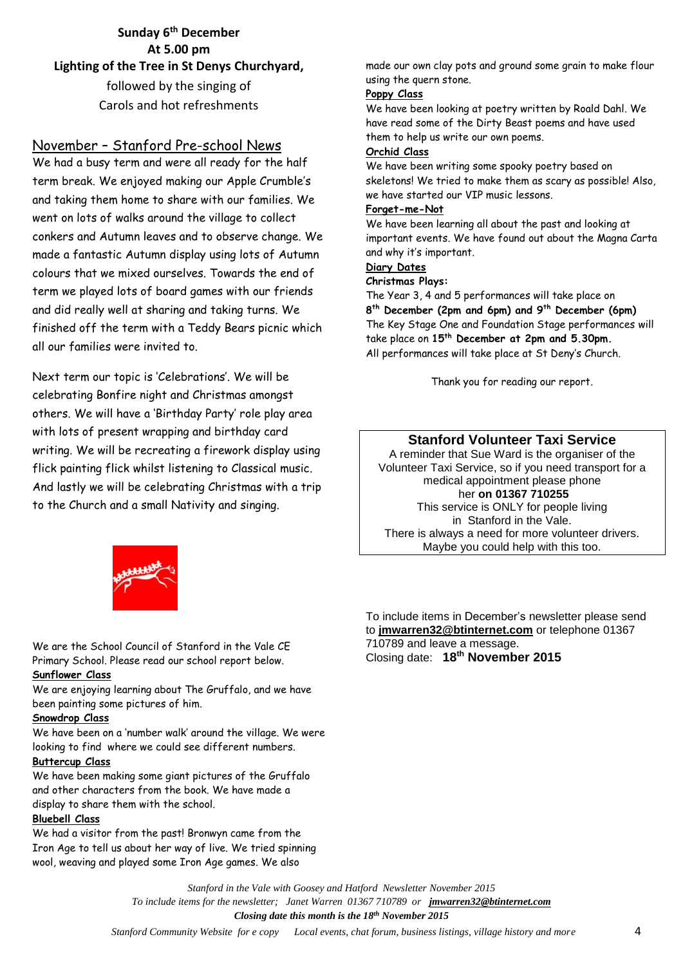**Sunday 6 th December At 5.00 pm Lighting of the Tree in St Denys Churchyard,**  followed by the singing of Carols and hot refreshments

## November – Stanford Pre-school News

We had a busy term and were all ready for the half term break. We enjoyed making our Apple Crumble's and taking them home to share with our families. We went on lots of walks around the village to collect conkers and Autumn leaves and to observe change. We made a fantastic Autumn display using lots of Autumn colours that we mixed ourselves. Towards the end of term we played lots of board games with our friends and did really well at sharing and taking turns. We finished off the term with a Teddy Bears picnic which all our families were invited to.

Next term our topic is 'Celebrations'. We will be celebrating Bonfire night and Christmas amongst others. We will have a 'Birthday Party' role play area with lots of present wrapping and birthday card writing. We will be recreating a firework display using flick painting flick whilst listening to Classical music. And lastly we will be celebrating Christmas with a trip to the Church and a small Nativity and singing.

made our own clay pots and ground some grain to make flour using the quern stone.

#### **Poppy Class**

We have been looking at poetry written by Roald Dahl. We have read some of the Dirty Beast poems and have used them to help us write our own poems.

#### **Orchid Class**

We have been writing some spooky poetry based on skeletons! We tried to make them as scary as possible! Also, we have started our VIP music lessons.

#### **Forget-me-Not**

We have been learning all about the past and looking at important events. We have found out about the Magna Carta and why it's important.

#### **Diary Dates**

#### **Christmas Plays:**

The Year 3, 4 and 5 performances will take place on **8 th December (2pm and 6pm) and 9th December (6pm)** The Key Stage One and Foundation Stage performances will take place on **15th December at 2pm and 5.30pm.** All performances will take place at St Deny's Church.

Thank you for reading our report.

## **Stanford Volunteer Taxi Service**

A reminder that Sue Ward is the organiser of the Volunteer Taxi Service, so if you need transport for a medical appointment please phone her **on 01367 710255** This service is ONLY for people living in Stanford in the Vale. There is always a need for more volunteer drivers. Maybe you could help with this too.



We are the School Council of Stanford in the Vale CE Primary School. Please read our school report below. **Sunflower Class**

We are enjoying learning about The Gruffalo, and we have been painting some pictures of him.

#### **Snowdrop Class**

We have been on a 'number walk' around the village. We were looking to find where we could see different numbers.

#### **Buttercup Class**

We have been making some giant pictures of the Gruffalo and other characters from the book. We have made a display to share them with the school.

#### **Bluebell Class**

We had a visitor from the past! Bronwyn came from the Iron Age to tell us about her way of live. We tried spinning wool, weaving and played some Iron Age games. We also

To include items in December's newsletter please send to **[jmwarren32@btinternet.com](mailto:jmwarren32@btinternet.com)** or telephone 01367 710789 and leave a message. Closing date: **18th November 2015** 

*Stanford in the Vale with Goosey and Hatford Newsletter November 2015 To include items for the newsletter; Janet Warren 01367 710789 or [jmwarren32@btinternet.com](mailto:jmwarren32@btinternet.com) Closing date this month is the 18th November 2015*

 *Stanford Community Website for e copy Local events, chat forum, business listings, village history and more* 4